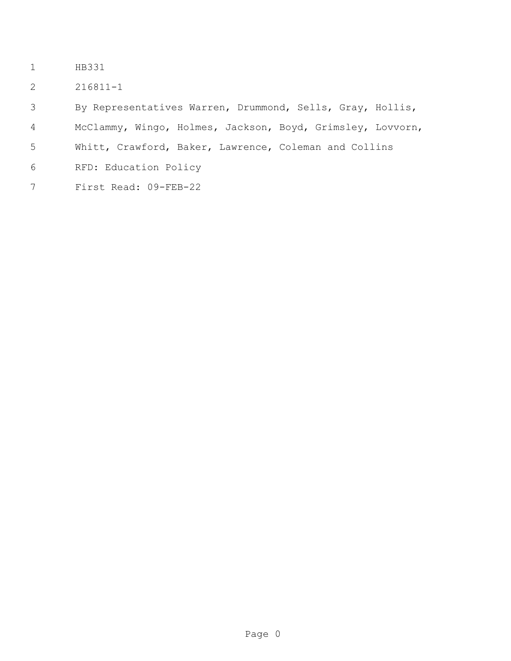- HB331
- 216811-1

By Representatives Warren, Drummond, Sells, Gray, Hollis,

McClammy, Wingo, Holmes, Jackson, Boyd, Grimsley, Lovvorn,

- Whitt, Crawford, Baker, Lawrence, Coleman and Collins
- RFD: Education Policy
- First Read: 09-FEB-22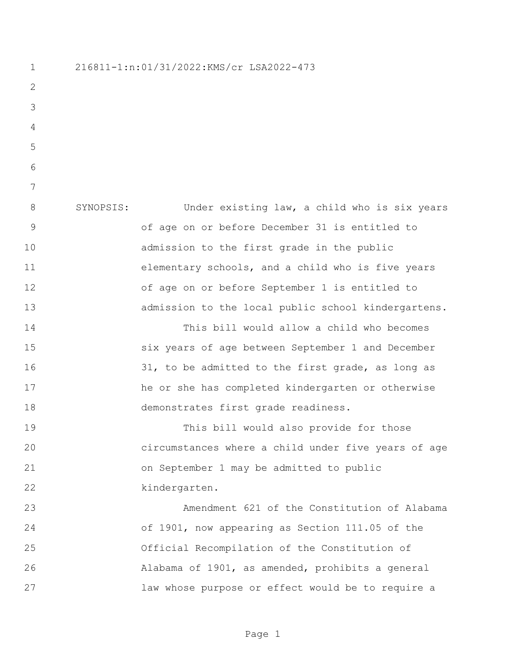216811-1:n:01/31/2022:KMS/cr LSA2022-473 SYNOPSIS: Under existing law, a child who is six years of age on or before December 31 is entitled to admission to the first grade in the public elementary schools, and a child who is five years of age on or before September 1 is entitled to admission to the local public school kindergartens. This bill would allow a child who becomes six years of age between September 1 and December 31, to be admitted to the first grade, as long as he or she has completed kindergarten or otherwise demonstrates first grade readiness. This bill would also provide for those circumstances where a child under five years of age on September 1 may be admitted to public kindergarten. Amendment 621 of the Constitution of Alabama of 1901, now appearing as Section 111.05 of the Official Recompilation of the Constitution of Alabama of 1901, as amended, prohibits a general law whose purpose or effect would be to require a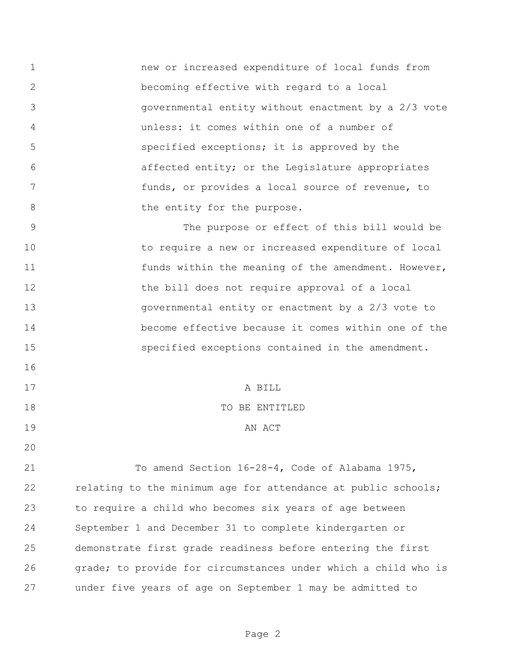new or increased expenditure of local funds from becoming effective with regard to a local governmental entity without enactment by a 2/3 vote unless: it comes within one of a number of specified exceptions; it is approved by the affected entity; or the Legislature appropriates funds, or provides a local source of revenue, to 8 be entity for the purpose.

 The purpose or effect of this bill would be to require a new or increased expenditure of local 11 funds within the meaning of the amendment. However, 12 the bill does not require approval of a local governmental entity or enactment by a 2/3 vote to become effective because it comes within one of the specified exceptions contained in the amendment. 

17 A BILL

## TO BE ENTITLED

## 19 AN ACT

 To amend Section 16-28-4, Code of Alabama 1975, 22 relating to the minimum age for attendance at public schools; to require a child who becomes six years of age between September 1 and December 31 to complete kindergarten or demonstrate first grade readiness before entering the first grade; to provide for circumstances under which a child who is under five years of age on September 1 may be admitted to

Page 2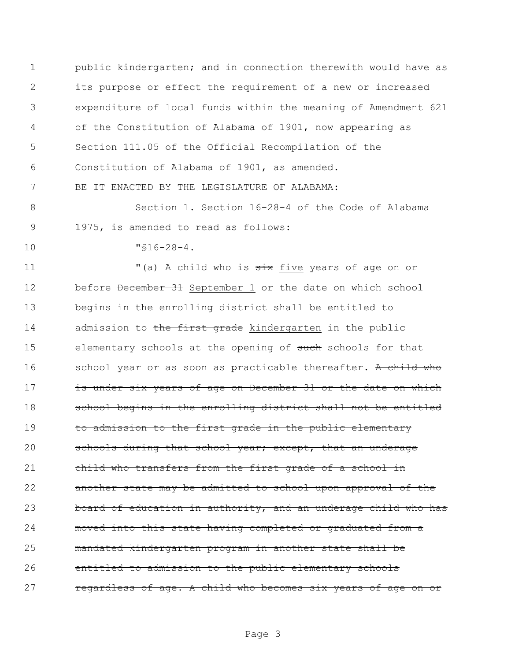public kindergarten; and in connection therewith would have as its purpose or effect the requirement of a new or increased expenditure of local funds within the meaning of Amendment 621 of the Constitution of Alabama of 1901, now appearing as Section 111.05 of the Official Recompilation of the Constitution of Alabama of 1901, as amended. BE IT ENACTED BY THE LEGISLATURE OF ALABAMA:

8 Section 1. Section 16-28-4 of the Code of Alabama 9 1975, is amended to read as follows:

10 "§16-28-4.

11 "(a) A child who is  $\frac{1}{x}$  five years of age on or 12 before December 31 September 1 or the date on which school 13 begins in the enrolling district shall be entitled to 14 admission to the first grade kindergarten in the public 15 elementary schools at the opening of such schools for that 16 school year or as soon as practicable thereafter. A child who 17 is under six years of age on December 31 or the date on which 18 school begins in the enrolling district shall not be entitled 19 to admission to the first grade in the public elementary 20 schools during that school year; except, that an underage 21 child who transfers from the first grade of a school in 22 another state may be admitted to school upon approval of the 23 board of education in authority, and an underage child who has 24 moved into this state having completed or graduated from a 25 mandated kindergarten program in another state shall be 26 entitled to admission to the public elementary schools 27 regardless of age. A child who becomes six years of age on or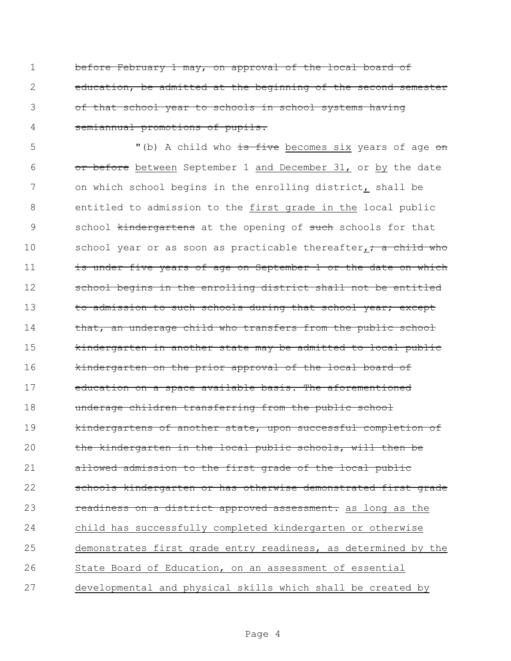before February 1 may, on approval of the local board of education, be admitted at the beginning of the second semester of that school year to schools in school systems having semiannual promotions of pupils.

5 "(b) A child who is five becomes six years of age on 6 or before between September 1 and December 31, or by the date on which school begins in the enrolling district, shall be entitled to admission to the first grade in the local public 9 school tindergartens at the opening of such schools for that 10 school year or as soon as practicable thereafter<sub>1</sub>; a child who 11 is under five years of age on September 1 or the date on which 12 school begins in the enrolling district shall not be entitled 13 to admission to such schools during that school year; except 14 that, an underage child who transfers from the public school kindergarten in another state may be admitted to local public **kindergarten on the prior approval of the local board of**  education on a space available basis. The aforementioned underage children transferring from the public school kindergartens of another state, upon successful completion of the kindergarten in the local public schools, will then be allowed admission to the first grade of the local public schools kindergarten or has otherwise demonstrated first grade 23 readiness on a district approved assessment. as long as the child has successfully completed kindergarten or otherwise demonstrates first grade entry readiness, as determined by the State Board of Education, on an assessment of essential developmental and physical skills which shall be created by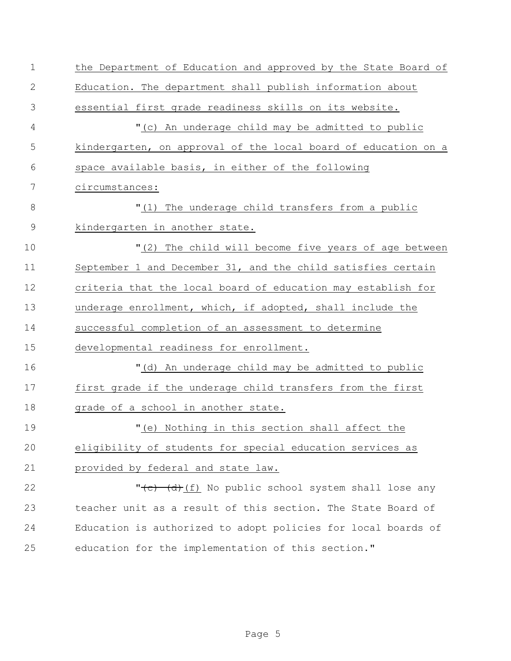| $\mathbf 1$   | the Department of Education and approved by the State Board of  |
|---------------|-----------------------------------------------------------------|
| $\mathbf{2}$  | Education. The department shall publish information about       |
| 3             | essential first grade readiness skills on its website.          |
| 4             | "(c) An underage child may be admitted to public                |
| 5             | kindergarten, on approval of the local board of education on a  |
| 6             | space available basis, in either of the following               |
| 7             | circumstances:                                                  |
| 8             | "(1) The underage child transfers from a public                 |
| $\mathcal{G}$ | kindergarten in another state.                                  |
| 10            | "(2) The child will become five years of age between            |
| 11            | September 1 and December 31, and the child satisfies certain    |
| 12            | criteria that the local board of education may establish for    |
| 13            | underage enrollment, which, if adopted, shall include the       |
| 14            | successful completion of an assessment to determine             |
| 15            | developmental readiness for enrollment.                         |
| 16            | "(d) An underage child may be admitted to public                |
| 17            | first grade if the underage child transfers from the first      |
| 18            | grade of a school in another state.                             |
| 19            | "(e) Nothing in this section shall affect the                   |
| 20            | eligibility of students for special education services as       |
| 21            | provided by federal and state law.                              |
| 22            | " <del>(c) (d)</del> (f) No public school system shall lose any |
| 23            | teacher unit as a result of this section. The State Board of    |
| 24            | Education is authorized to adopt policies for local boards of   |
| 25            | education for the implementation of this section."              |
|               |                                                                 |

Page 5